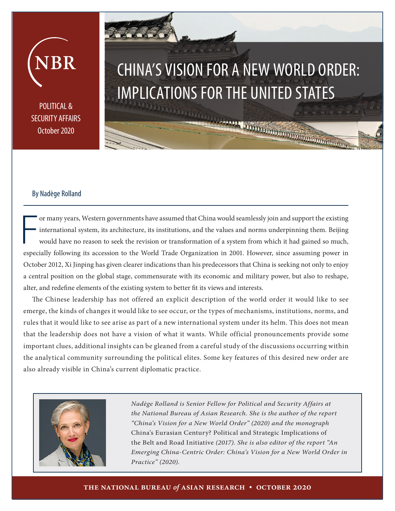# CHINA'S VISION FOR A NEW WORLD ORDER: IMPLICATIONS FOR THE UNITED STATES

POLITICAL & SECURITY AFFAIRS October 2020

JBR

# By Nadège Rolland

or many years, Western governments have assumed that China would seamlessly join and support the existing international system, its architecture, its institutions, and the values and norms underpinning them. Beijing would have no reason to seek the revision or transformation of a system from which it had gained so much, especially following its accession to the World Trade Organization in 2001. However, since assuming power in October 2012, Xi Jinping has given clearer indications than his predecessors that China is seeking not only to enjoy a central position on the global stage, commensurate with its economic and military power, but also to reshape, alter, and redefine elements of the existing system to better fit its views and interests.

The Chinese leadership has not offered an explicit description of the world order it would like to see emerge, the kinds of changes it would like to see occur, or the types of mechanisms, institutions, norms, and rules that it would like to see arise as part of a new international system under its helm. This does not mean that the leadership does not have a vision of what it wants. While official pronouncements provide some important clues, additional insights can be gleaned from a careful study of the discussions occurring within the analytical community surrounding the political elites. Some key features of this desired new order are also already visible in China's current diplomatic practice.



*Nadège Rolland is Senior Fellow for Political and Security Affairs at the National Bureau of Asian Research. She is the author of the report "China's Vision for a New World Order" (2020) and the monograph*  China's Eurasian Century? Political and Strategic Implications of the Belt and Road Initiative *(2017). She is also editor of the report "An Emerging China-Centric Order: China's Vision for a New World Order in Practice" (2020).*

#### **the national bureau** *of* **asian research • october 2020**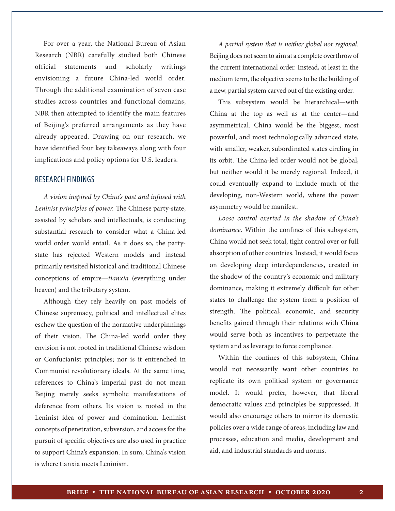For over a year, the National Bureau of Asian Research (NBR) carefully studied both Chinese official statements and scholarly writings envisioning a future China-led world order. Through the additional examination of seven case studies across countries and functional domains, NBR then attempted to identify the main features of Beijing's preferred arrangements as they have already appeared. Drawing on our research, we have identified four key takeaways along with four implications and policy options for U.S. leaders.

### RESEARCH FINDINGS

*A vision inspired by China's past and infused with Leninist principles of power.* The Chinese party-state, assisted by scholars and intellectuals, is conducting substantial research to consider what a China-led world order would entail. As it does so, the partystate has rejected Western models and instead primarily revisited historical and traditional Chinese conceptions of empire—*tianxia* (everything under heaven) and the tributary system.

Although they rely heavily on past models of Chinese supremacy, political and intellectual elites eschew the question of the normative underpinnings of their vision. The China-led world order they envision is not rooted in traditional Chinese wisdom or Confucianist principles; nor is it entrenched in Communist revolutionary ideals. At the same time, references to China's imperial past do not mean Beijing merely seeks symbolic manifestations of deference from others. Its vision is rooted in the Leninist idea of power and domination. Leninist concepts of penetration, subversion, and access for the pursuit of specific objectives are also used in practice to support China's expansion. In sum, China's vision is where tianxia meets Leninism.

*A partial system that is neither global nor regional.*  Beijing does not seem to aim at a complete overthrow of the current international order. Instead, at least in the medium term, the objective seems to be the building of a new, partial system carved out of the existing order.

This subsystem would be hierarchical—with China at the top as well as at the center—and asymmetrical. China would be the biggest, most powerful, and most technologically advanced state, with smaller, weaker, subordinated states circling in its orbit. The China-led order would not be global, but neither would it be merely regional. Indeed, it could eventually expand to include much of the developing, non-Western world, where the power asymmetry would be manifest.

*Loose control exerted in the shadow of China's dominance.* Within the confines of this subsystem, China would not seek total, tight control over or full absorption of other countries. Instead, it would focus on developing deep interdependencies, created in the shadow of the country's economic and military dominance, making it extremely difficult for other states to challenge the system from a position of strength. The political, economic, and security benefits gained through their relations with China would serve both as incentives to perpetuate the system and as leverage to force compliance.

Within the confines of this subsystem, China would not necessarily want other countries to replicate its own political system or governance model. It would prefer, however, that liberal democratic values and principles be suppressed. It would also encourage others to mirror its domestic policies over a wide range of areas, including law and processes, education and media, development and aid, and industrial standards and norms.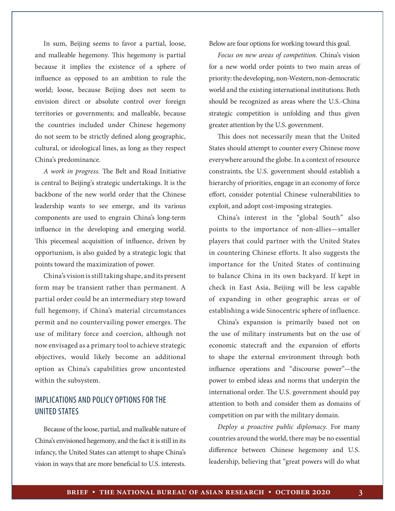In sum, Beijing seems to favor a partial, loose, and malleable hegemony. This hegemony is partial because it implies the existence of a sphere of influence as opposed to an ambition to rule the world; loose, because Beijing does not seem to envision direct or absolute control over foreign territories or governments; and malleable, because the countries included under Chinese hegemony do not seem to be strictly defined along geographic, cultural, or ideological lines, as long as they respect China's predominance.

*A work in progress.* The Belt and Road Initiative is central to Beijing's strategic undertakings. It is the backbone of the new world order that the Chinese leadership wants to see emerge, and its various components are used to engrain China's long-term influence in the developing and emerging world. This piecemeal acquisition of influence, driven by opportunism, is also guided by a strategic logic that points toward the maximization of power.

China's vision is still taking shape, and its present form may be transient rather than permanent. A partial order could be an intermediary step toward full hegemony, if China's material circumstances permit and no countervailing power emerges. The use of military force and coercion, although not now envisaged as a primary tool to achieve strategic objectives, would likely become an additional option as China's capabilities grow uncontested within the subsystem.

## IMPLICATIONS AND POLICY OPTIONS FOR THE UNITED STATES

Because of the loose, partial, and malleable nature of China's envisioned hegemony, and the fact it is still in its infancy, the United States can attempt to shape China's vision in ways that are more beneficial to U.S. interests. Below are four options for working toward this goal.

*Focus on new areas of competition.* China's vision for a new world order points to two main areas of priority: the developing, non-Western, non-democratic world and the existing international institutions. Both should be recognized as areas where the U.S.-China strategic competition is unfolding and thus given greater attention by the U.S. government.

This does not necessarily mean that the United States should attempt to counter every Chinese move everywhere around the globe. In a context of resource constraints, the U.S. government should establish a hierarchy of priorities, engage in an economy of force effort, consider potential Chinese vulnerabilities to exploit, and adopt cost-imposing strategies.

China's interest in the "global South" also points to the importance of non-allies—smaller players that could partner with the United States in countering Chinese efforts. It also suggests the importance for the United States of continuing to balance China in its own backyard. If kept in check in East Asia, Beijing will be less capable of expanding in other geographic areas or of establishing a wide Sinocentric sphere of influence.

China's expansion is primarily based not on the use of military instruments but on the use of economic statecraft and the expansion of efforts to shape the external environment through both influence operations and "discourse power"—the power to embed ideas and norms that underpin the international order. The U.S. government should pay attention to both and consider them as domains of competition on par with the military domain.

*Deploy a proactive public diplomacy.* For many countries around the world, there may be no essential difference between Chinese hegemony and U.S. leadership, believing that "great powers will do what